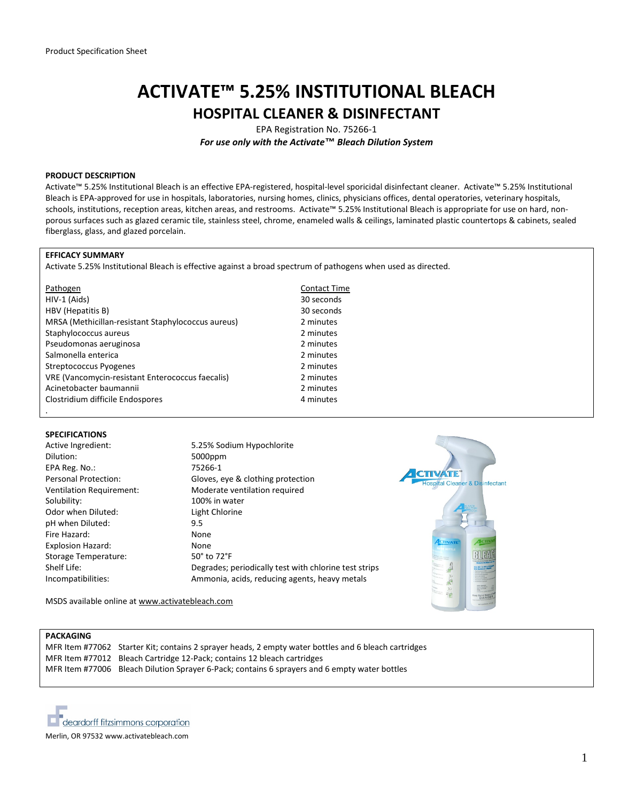# **ACTIVATE™ 5.25% INSTITUTIONAL BLEACH HOSPITAL CLEANER & DISINFECTANT**

EPA Registration No. 75266-1 *For use only with the Activate™ Bleach Dilution System*

### **PRODUCT DESCRIPTION**

Activate™ 5.25% Institutional Bleach is an effective EPA-registered, hospital-level sporicidal disinfectant cleaner. Activate™ 5.25% Institutional Bleach is EPA-approved for use in hospitals, laboratories, nursing homes, clinics, physicians offices, dental operatories, veterinary hospitals, schools, institutions, reception areas, kitchen areas, and restrooms. Activate™ 5.25% Institutional Bleach is appropriate for use on hard, nonporous surfaces such as glazed ceramic tile, stainless steel, chrome, enameled walls & ceilings, laminated plastic countertops & cabinets, sealed fiberglass, glass, and glazed porcelain.

> Contact Time 30 seconds 30 seconds 2 minutes 2 minutes 2 minutes

#### **EFFICACY SUMMARY**

Activate 5.25% Institutional Bleach is effective against a broad spectrum of pathogens when used as directed.

| Pathogen                                           | Contact Ti |
|----------------------------------------------------|------------|
| HIV-1 (Aids)                                       | 30 second  |
| HBV (Hepatitis B)                                  | 30 second  |
| MRSA (Methicillan-resistant Staphylococcus aureus) | 2 minutes  |
| Staphylococcus aureus                              | 2 minutes  |
| Pseudomonas aeruginosa                             | 2 minutes  |
| Salmonella enterica                                | 2 minutes  |
| Streptococcus Pyogenes                             | 2 minutes  |
| VRE (Vancomycin-resistant Enterococcus faecalis)   | 2 minutes  |
| Acinetobacter baumannii                            | 2 minutes  |
| Clostridium difficile Endospores                   | 4 minutes  |
|                                                    |            |

# **SPECIFICATIONS**

| ACTIVE THRESHELL:              | 3.Z37  |
|--------------------------------|--------|
| Dilution:                      | 5000   |
| EPA Reg. No.:                  | 7526   |
| <b>Personal Protection:</b>    | Glove  |
| Ventilation Requirement:       | Mode   |
| Solubility:                    | 100%   |
| Odor when Diluted:             | Light  |
| pH when Diluted:               | 9.5    |
| Fire Hazard:                   | None   |
| Explosion Hazard:              | None   |
| Storage Temperature:           | 50° to |
| Shelf Life:                    | Degra  |
| Incomnatibilities <sup>.</sup> | Amm    |

5.25% Sodium Hypochlorite 5000ppm 75266-1 Gloves, eye & clothing protection Moderate ventilation required 100% in water Light Chlorine 50° to 72°F Degrades; periodically test with chlorine test strips Ammonia, acids, reducing agents, heavy metals



MSDS available online at [www.activatebleach.com](http://www.activatebleach.com/)

# **PACKAGING**

MFR Item #77062 Starter Kit; contains 2 sprayer heads, 2 empty water bottles and 6 bleach cartridges MFR Item #77012 Bleach Cartridge 12-Pack; contains 12 bleach cartridges MFR Item #77006 Bleach Dilution Sprayer 6-Pack; contains 6 sprayers and 6 empty water bottles

deardorff fitzsimmons corporation

Merlin, OR 97532 www.activatebleach.com